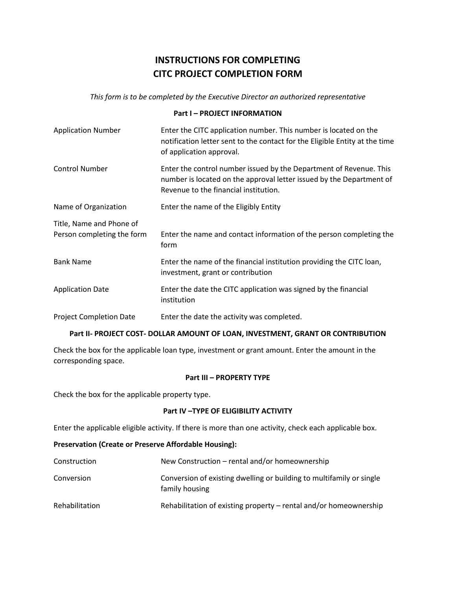# **INSTRUCTIONS FOR COMPLETING CITC PROJECT COMPLETION FORM**

*This form is to be completed by the Executive Director an authorized representative*

#### **Part I – PROJECT INFORMATION**

| <b>Application Number</b>      | Enter the CITC application number. This number is located on the<br>notification letter sent to the contact for the Eligible Entity at the time<br>of application approval.         |
|--------------------------------|-------------------------------------------------------------------------------------------------------------------------------------------------------------------------------------|
| <b>Control Number</b>          | Enter the control number issued by the Department of Revenue. This<br>number is located on the approval letter issued by the Department of<br>Revenue to the financial institution. |
| Name of Organization           | Enter the name of the Eligibly Entity                                                                                                                                               |
| Title, Name and Phone of       |                                                                                                                                                                                     |
| Person completing the form     | Enter the name and contact information of the person completing the<br>form                                                                                                         |
| <b>Bank Name</b>               | Enter the name of the financial institution providing the CITC loan,<br>investment, grant or contribution                                                                           |
| <b>Application Date</b>        | Enter the date the CITC application was signed by the financial<br>institution                                                                                                      |
| <b>Project Completion Date</b> | Enter the date the activity was completed.                                                                                                                                          |

#### **Part II- PROJECT COST- DOLLAR AMOUNT OF LOAN, INVESTMENT, GRANT OR CONTRIBUTION**

Check the box for the applicable loan type, investment or grant amount. Enter the amount in the corresponding space.

## **Part III – PROPERTY TYPE**

Check the box for the applicable property type.

## **Part IV –TYPE OF ELIGIBILITY ACTIVITY**

Enter the applicable eligible activity. If there is more than one activity, check each applicable box.

### **Preservation (Create or Preserve Affordable Housing):**

| Construction          | New Construction – rental and/or homeownership                                         |
|-----------------------|----------------------------------------------------------------------------------------|
| Conversion            | Conversion of existing dwelling or building to multifamily or single<br>family housing |
| <b>Rehabilitation</b> | Rehabilitation of existing property – rental and/or homeownership                      |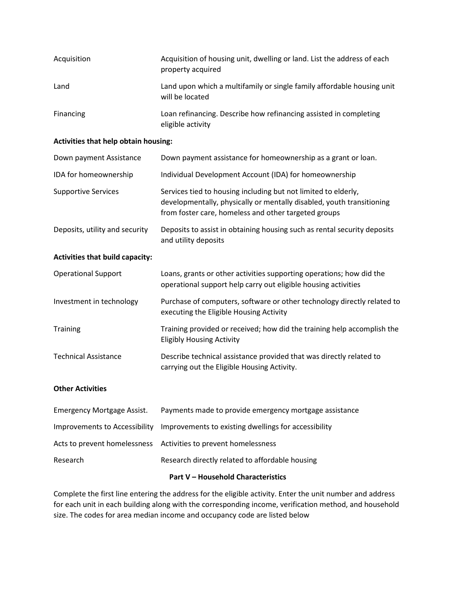| Acquisition | Acquisition of housing unit, dwelling or land. List the address of each<br>property acquired |
|-------------|----------------------------------------------------------------------------------------------|
| Land        | Land upon which a multifamily or single family affordable housing unit<br>will be located    |
| Financing   | Loan refinancing. Describe how refinancing assisted in completing<br>eligible activity       |

### **Activities that help obtain housing:**

| Down payment Assistance                | Down payment assistance for homeownership as a grant or loan.                                                                                                                                   |
|----------------------------------------|-------------------------------------------------------------------------------------------------------------------------------------------------------------------------------------------------|
| IDA for homeownership                  | Individual Development Account (IDA) for homeownership                                                                                                                                          |
| <b>Supportive Services</b>             | Services tied to housing including but not limited to elderly,<br>developmentally, physically or mentally disabled, youth transitioning<br>from foster care, homeless and other targeted groups |
| Deposits, utility and security         | Deposits to assist in obtaining housing such as rental security deposits<br>and utility deposits                                                                                                |
| <b>Activities that build capacity:</b> |                                                                                                                                                                                                 |
| <b>Operational Support</b>             | Loans, grants or other activities supporting operations; how did the<br>operational support help carry out eligible housing activities                                                          |
| Investment in technology               | Purchase of computers, software or other technology directly related to<br>executing the Eligible Housing Activity                                                                              |
| <b>Training</b>                        | Training provided or received; how did the training help accomplish the<br><b>Eligibly Housing Activity</b>                                                                                     |
| <b>Technical Assistance</b>            | Describe technical assistance provided that was directly related to<br>carrying out the Eligible Housing Activity.                                                                              |

## **Other Activities**

| Emergency Mortgage Assist. | Payments made to provide emergency mortgage assistance                             |
|----------------------------|------------------------------------------------------------------------------------|
|                            | Improvements to Accessibility Improvements to existing dwellings for accessibility |
|                            | Acts to prevent homelessness Activities to prevent homelessness                    |
| Research                   | Research directly related to affordable housing                                    |

## **Part V – Household Characteristics**

Complete the first line entering the address for the eligible activity. Enter the unit number and address for each unit in each building along with the corresponding income, verification method, and household size. The codes for area median income and occupancy code are listed below